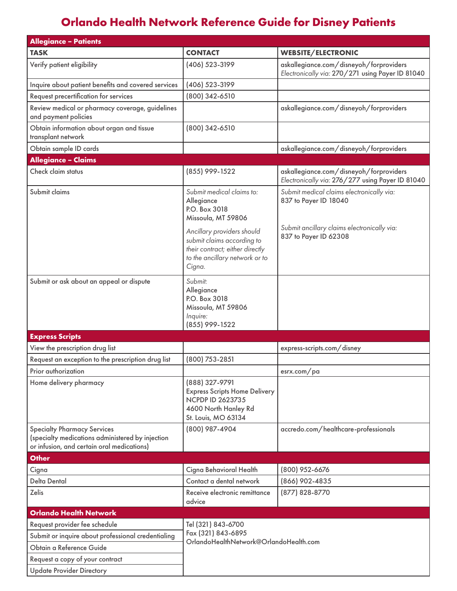# **Orlando Health Network Reference Guide for Disney Patients**

| <b>Allegiance - Patients</b>                                                                                                         |                                                                                                                                  |                                                                                                                                            |
|--------------------------------------------------------------------------------------------------------------------------------------|----------------------------------------------------------------------------------------------------------------------------------|--------------------------------------------------------------------------------------------------------------------------------------------|
| <b>TASK</b>                                                                                                                          | <b>CONTACT</b>                                                                                                                   | <b>WEBSITE/ELECTRONIC</b>                                                                                                                  |
| Verify patient eligibility                                                                                                           | (406) 523-3199                                                                                                                   | askallegiance.com/disneyoh/forproviders<br>Electronically via: 270/271 using Payer ID 81040                                                |
| Inquire about patient benefits and covered services                                                                                  | (406) 523-3199                                                                                                                   |                                                                                                                                            |
| Request precertification for services                                                                                                | (800) 342-6510                                                                                                                   |                                                                                                                                            |
| Review medical or pharmacy coverage, guidelines<br>and payment policies                                                              |                                                                                                                                  | askallegiance.com/disneyoh/forproviders                                                                                                    |
| Obtain information about organ and tissue<br>transplant network                                                                      | (800) 342-6510                                                                                                                   |                                                                                                                                            |
| Obtain sample ID cards                                                                                                               |                                                                                                                                  | askallegiance.com/disneyoh/forproviders                                                                                                    |
| <b>Allegiance - Claims</b>                                                                                                           |                                                                                                                                  |                                                                                                                                            |
| Check claim status                                                                                                                   | (855) 999-1522                                                                                                                   | askallegiance.com/disneyoh/forproviders<br>Electronically via: 276/277 using Payer ID 81040                                                |
| Submit claims                                                                                                                        | Submit medical claims to:<br>Allegiance<br>P.O. Box 3018<br>Missoula, MT 59806<br>Ancillary providers should                     | Submit medical claims electronically via:<br>837 to Payer ID 18040<br>Submit ancillary claims electronically via:<br>837 to Payer ID 62308 |
|                                                                                                                                      | submit claims according to<br>their contract; either directly<br>to the ancillary network or to<br>Cigna.                        |                                                                                                                                            |
| Submit or ask about an appeal or dispute                                                                                             | Submit:<br>Allegiance<br>P.O. Box 3018<br>Missoula, MT 59806<br>Inquire:<br>(855) 999-1522                                       |                                                                                                                                            |
| <b>Express Scripts</b>                                                                                                               |                                                                                                                                  |                                                                                                                                            |
| View the prescription drug list                                                                                                      |                                                                                                                                  | express-scripts.com/disney                                                                                                                 |
| Request an exception to the prescription drug list                                                                                   | (800) 753-2851                                                                                                                   |                                                                                                                                            |
| Prior authorization                                                                                                                  |                                                                                                                                  | esrx.com/pa                                                                                                                                |
| Home delivery pharmacy                                                                                                               | (888) 327-9791<br><b>Express Scripts Home Delivery</b><br><b>NCPDP ID 2623735</b><br>4600 North Hanley Rd<br>St. Louis, MO 63134 |                                                                                                                                            |
| <b>Specialty Pharmacy Services</b><br>(specialty medications administered by injection<br>or infusion, and certain oral medications) | (800) 987-4904                                                                                                                   | accredo.com/healthcare-professionals                                                                                                       |
| <b>Other</b>                                                                                                                         |                                                                                                                                  |                                                                                                                                            |
| Cigna                                                                                                                                | Cigna Behavioral Health                                                                                                          | (800) 952-6676                                                                                                                             |
| <b>Delta Dental</b>                                                                                                                  | Contact a dental network                                                                                                         | (866) 902-4835                                                                                                                             |
| <b>Zelis</b>                                                                                                                         | Receive electronic remittance<br>advice                                                                                          | (877) 828-8770                                                                                                                             |
| <b>Orlando Health Network</b>                                                                                                        |                                                                                                                                  |                                                                                                                                            |
| Request provider fee schedule                                                                                                        | Tel (321) 843-6700                                                                                                               |                                                                                                                                            |
| Submit or inquire about professional credentialing                                                                                   | Fax (321) 843-6895<br>OrlandoHealthNetwork@OrlandoHealth.com                                                                     |                                                                                                                                            |
| Obtain a Reference Guide                                                                                                             |                                                                                                                                  |                                                                                                                                            |
| Request a copy of your contract                                                                                                      |                                                                                                                                  |                                                                                                                                            |
| <b>Update Provider Directory</b>                                                                                                     |                                                                                                                                  |                                                                                                                                            |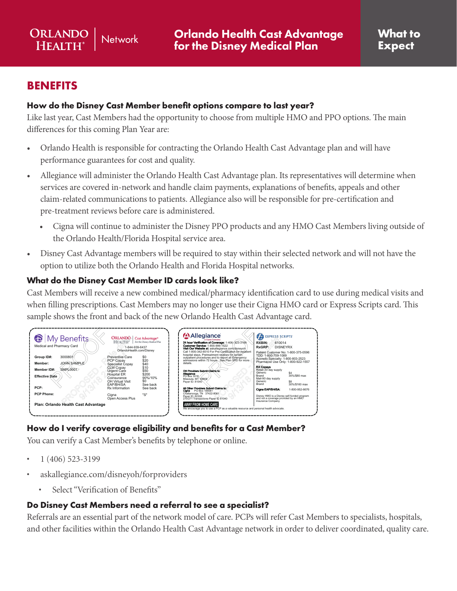### **BENEFITS**

ORLANDO

**HEALTH®** 

#### **How do the Disney Cast Member benefit options compare to last year?**

Like last year, Cast Members had the opportunity to choose from multiple HMO and PPO options. The main differences for this coming Plan Year are:

- Orlando Health is responsible for contracting the Orlando Health Cast Advantage plan and will have performance guarantees for cost and quality.
- Allegiance will administer the Orlando Health Cast Advantage plan. Its representatives will determine when services are covered in-network and handle claim payments, explanations of benefits, appeals and other claim-related communications to patients. Allegiance also will be responsible for pre-certification and pre-treatment reviews before care is administered.
	- Cigna will continue to administer the Disney PPO products and any HMO Cast Members living outside of the Orlando Health/Florida Hospital service area.
- option to utilize both the Orlando Health and Florida Hospital networks. • Disney Cast Advantage members will be required to stay within their selected network and will not have the

#### **What do the Disney Cast Member ID cards look like?**

**Network** 

Cast Members will receive a new combined medical/pharmacy identification card to use during medical visits and when filling prescriptions. Cast Members may no longer use their Cigna HMO card or Express Scripts card. This sample shows the front and back of the new Orlando Health Cast Advantage card.



# **How do I verify coverage eligibility and benefits for a Cast Member?**<br>You can verify a Cast Member's benefits by telephone or online.<br>• 1 (406) 523-3199<br>• askallegiance.com/disneyoh/forproviders

vu can verify a Cast Member's benefits by telephone or online. Propose of the Propose of Schember's benefits by telephone or online.<br>
• 1 (406) 523-3199<br>
• askallegiance.com/disneyoh/forproviders<br>
• Select "Verification of Benefits" Proposed and the contract of the contract of the contract of the contract of the contract of the contract of the contract of the contract of the contract of the contract of the contract of the contract of the contract of t

- $\cdot$  1 (406) 523-3199
- askallegiance.com/disney forproviders See back 1166-AL 2F2C 3000801----- M()D()V()  $\mathcal{D}$  $\overline{r}$ 3-3199<br>ce.com/disne<br>Verification of [• askallegiance.com/disneyoh/forproviders](http://askallegiance.com/disneyoh/forproviders) 
	- **PCP Phone:** IOI. • Select "Verification of Benefits"

# **Plan: Orlando Health Cast Advantage**  $1$ le<br><sup>2</sup> outhom to a skallegiance.com/disneyoh/forproviders<br>
Select "Verification of Benefits"<br> **Do Disney Cast Members need a referral to see a specialist?**

Referrals are an essential part of the network model of care. PCPs will refer Cast Members to specialists, hospitals, and other facilities within the Orlando Health Cast Advantage network in order to deliver coordinated, quality care.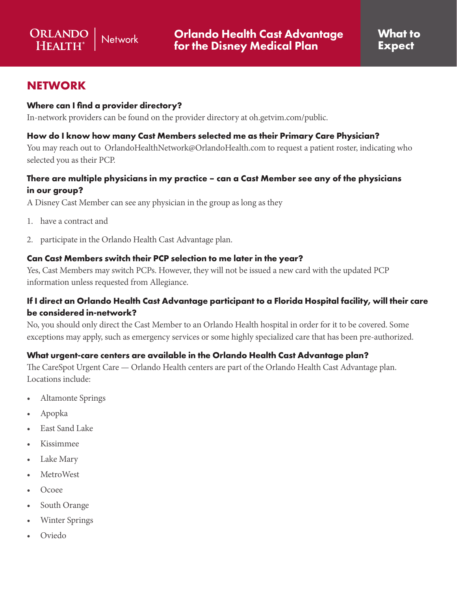## **NETWORK**

#### **Where can I find a provider directory?**

In-network providers can be found on the provider directory at oh.getvim.com/public.

#### **How do I know how many Cast Members selected me as their Primary Care Physician?**

You may reach out to OrlandoHealthNetwork@OrlandoHealth.com to request a patient roster, indicating who selected you as their PCP.

#### **There are multiple physicians in my practice – can a Cast Member see any of the physicians in our group?**

A Disney Cast Member can see any physician in the group as long as they

- 1. have a contract and
- 2. participate in the Orlando Health Cast Advantage plan.

#### **Can Cast Members switch their PCP selection to me later in the year?**

Yes, Cast Members may switch PCPs. However, they will not be issued a new card with the updated PCP information unless requested from Allegiance.

#### **If I direct an Orlando Health Cast Advantage participant to a Florida Hospital facility, will their care be considered in-network?**

No, you should only direct the Cast Member to an Orlando Health hospital in order for it to be covered. Some exceptions may apply, such as emergency services or some highly specialized care that has been pre-authorized.

#### **What urgent-care centers are available in the Orlando Health Cast Advantage plan?**

The CareSpot Urgent Care — Orlando Health centers are part of the Orlando Health Cast Advantage plan. Locations include:

- Altamonte Springs
- Apopka
- East Sand Lake
- Kissimmee
- Lake Mary
- MetroWest
- Ocoee
- South Orange
- Winter Springs
- Oviedo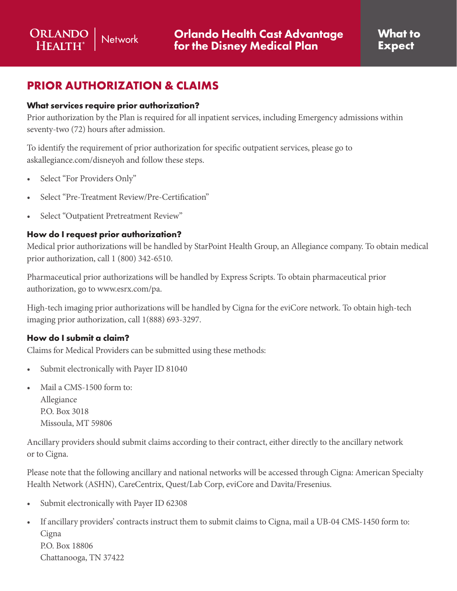# **PRIOR AUTHORIZATION & CLAIMS**

#### **What services require prior authorization?**

Prior authorization by the Plan is required for all inpatient services, including Emergency admissions within seventy-two (72) hours after admission.

To identify the requirement of prior authorization for specific outpatient services, please go to askallegiance.com/disneyoh and follow these steps.

- • Select "For Providers Only"
- 
- Select "Pre-Treatment Review/Pre-Certification"<br>• Select "Outpatient Pretreatment Review"

#### **How do I request prior authorization?**

Medical prior authorizations will be handled by StarPoint Health Group, an Allegiance company. To obtain medical prior authorization, call 1 (800) 342-6510.

Pharmaceutical prior authorizations will be handled by Express Scripts. To obtain pharmaceutical prior authorization, go to www.esrx.com/pa.

High-tech imaging prior authorizations will be handled by Cigna for the eviCore network. To obtain high-tech imaging prior authorization, call 1(888) 693-3297.

#### **How do I submit a claim?**

Claims for Medical Providers can be submitted using these methods:

- Submit electronically with Payer ID 81040
- Mail a CMS-1500 form to: Allegiance P.O. Box 3018 Missoula, MT 59806

Ancillary providers should submit claims according to their contract, either directly to the ancillary network or to Cigna.

Please note that the following ancillary and national networks will be accessed through Cigna: American Specialty Health Network (ASHN), CareCentrix, Quest/Lab Corp, eviCore and Davita/Fresenius.

- • Submit electronically with Payer ID 62308
- If ancillary providers' contracts instruct them to submit claims to Cigna, mail a UB-04 CMS-1450 form to: **Cigna** P.O. Box 18806 Chattanooga, TN 37422